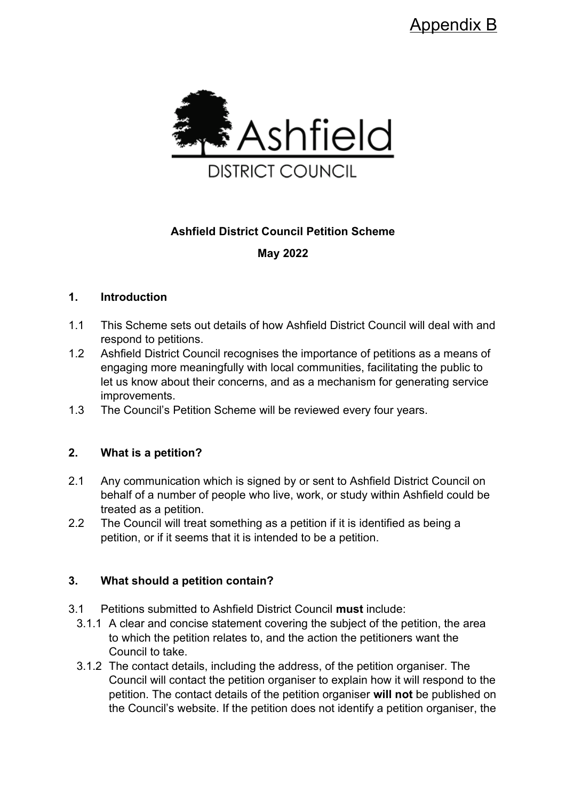

# **Ashfield District Council Petition Scheme**

**May 2022**

#### **1. Introduction**

- 1.1 This Scheme sets out details of how Ashfield District Council will deal with and respond to petitions.
- 1.2 Ashfield District Council recognises the importance of petitions as a means of engaging more meaningfully with local communities, facilitating the public to let us know about their concerns, and as a mechanism for generating service improvements.
- 1.3 The Council's Petition Scheme will be reviewed every four years.

# **2. What is a petition?**

- 2.1 Any communication which is signed by or sent to Ashfield District Council on behalf of a number of people who live, work, or study within Ashfield could be treated as a petition.
- 2.2 The Council will treat something as a petition if it is identified as being a petition, or if it seems that it is intended to be a petition.

# **3. What should a petition contain?**

- 3.1 Petitions submitted to Ashfield District Council **must** include:
	- 3.1.1 A clear and concise statement covering the subject of the petition, the area to which the petition relates to, and the action the petitioners want the Council to take.
	- 3.1.2 The contact details, including the address, of the petition organiser. The Council will contact the petition organiser to explain how it will respond to the petition. The contact details of the petition organiser **will not** be published on the Council's website. If the petition does not identify a petition organiser, the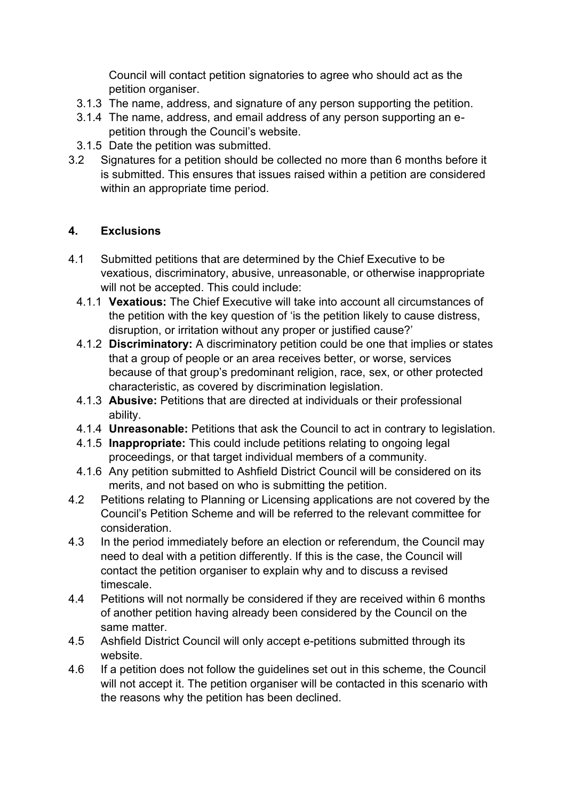Council will contact petition signatories to agree who should act as the petition organiser.

- 3.1.3 The name, address, and signature of any person supporting the petition.
- 3.1.4 The name, address, and email address of any person supporting an epetition through the Council's website.
- 3.1.5 Date the petition was submitted.
- 3.2 Signatures for a petition should be collected no more than 6 months before it is submitted. This ensures that issues raised within a petition are considered within an appropriate time period.

#### **4. Exclusions**

- 4.1 Submitted petitions that are determined by the Chief Executive to be vexatious, discriminatory, abusive, unreasonable, or otherwise inappropriate will not be accepted. This could include:
	- 4.1.1 **Vexatious:** The Chief Executive will take into account all circumstances of the petition with the key question of 'is the petition likely to cause distress, disruption, or irritation without any proper or justified cause?'
	- 4.1.2 **Discriminatory:** A discriminatory petition could be one that implies or states that a group of people or an area receives better, or worse, services because of that group's predominant religion, race, sex, or other protected characteristic, as covered by discrimination legislation.
	- 4.1.3 **Abusive:** Petitions that are directed at individuals or their professional ability.
	- 4.1.4 **Unreasonable:** Petitions that ask the Council to act in contrary to legislation.
	- 4.1.5 **Inappropriate:** This could include petitions relating to ongoing legal proceedings, or that target individual members of a community.
	- 4.1.6 Any petition submitted to Ashfield District Council will be considered on its merits, and not based on who is submitting the petition.
- 4.2 Petitions relating to Planning or Licensing applications are not covered by the Council's Petition Scheme and will be referred to the relevant committee for consideration.
- 4.3 In the period immediately before an election or referendum, the Council may need to deal with a petition differently. If this is the case, the Council will contact the petition organiser to explain why and to discuss a revised timescale.
- 4.4 Petitions will not normally be considered if they are received within 6 months of another petition having already been considered by the Council on the same matter.
- 4.5 Ashfield District Council will only accept e-petitions submitted through its website.
- 4.6 If a petition does not follow the guidelines set out in this scheme, the Council will not accept it. The petition organiser will be contacted in this scenario with the reasons why the petition has been declined.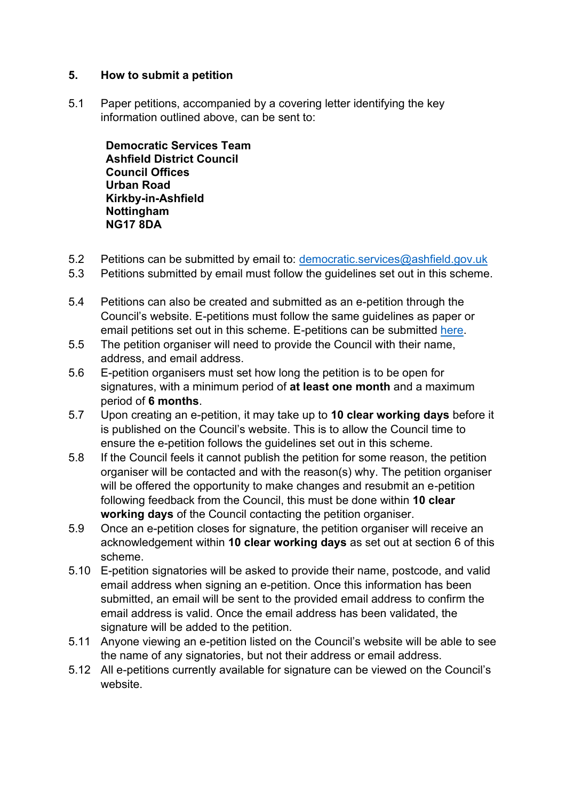#### **5. How to submit a petition**

5.1 Paper petitions, accompanied by a covering letter identifying the key information outlined above, can be sent to:

**Democratic Services Team Ashfield District Council Council Offices Urban Road Kirkby-in-Ashfield Nottingham NG17 8DA**

- 5.2 Petitions can be submitted by email to: [democratic.services@ashfield.gov.uk](mailto:democratic.services@ashfield.gov.uk)
- 5.3 Petitions submitted by email must follow the guidelines set out in this scheme.
- 5.4 Petitions can also be created and submitted as an e-petition through the Council's website. E-petitions must follow the same guidelines as paper or email petitions set out in this scheme. E-petitions can be submitted [here.](https://democracy.ashfield-dc.gov.uk/mgEPetitionListDisplay.aspx?bcr=1)
- 5.5 The petition organiser will need to provide the Council with their name, address, and email address.
- 5.6 E-petition organisers must set how long the petition is to be open for signatures, with a minimum period of **at least one month** and a maximum period of **6 months**.
- 5.7 Upon creating an e-petition, it may take up to **10 clear working days** before it is published on the Council's website. This is to allow the Council time to ensure the e-petition follows the guidelines set out in this scheme.
- 5.8 If the Council feels it cannot publish the petition for some reason, the petition organiser will be contacted and with the reason(s) why. The petition organiser will be offered the opportunity to make changes and resubmit an e-petition following feedback from the Council, this must be done within **10 clear working days** of the Council contacting the petition organiser.
- 5.9 Once an e-petition closes for signature, the petition organiser will receive an acknowledgement within **10 clear working days** as set out at section 6 of this scheme.
- 5.10 E-petition signatories will be asked to provide their name, postcode, and valid email address when signing an e-petition. Once this information has been submitted, an email will be sent to the provided email address to confirm the email address is valid. Once the email address has been validated, the signature will be added to the petition.
- 5.11 Anyone viewing an e-petition listed on the Council's website will be able to see the name of any signatories, but not their address or email address.
- 5.12 All e-petitions currently available for signature can be viewed on the Council's website.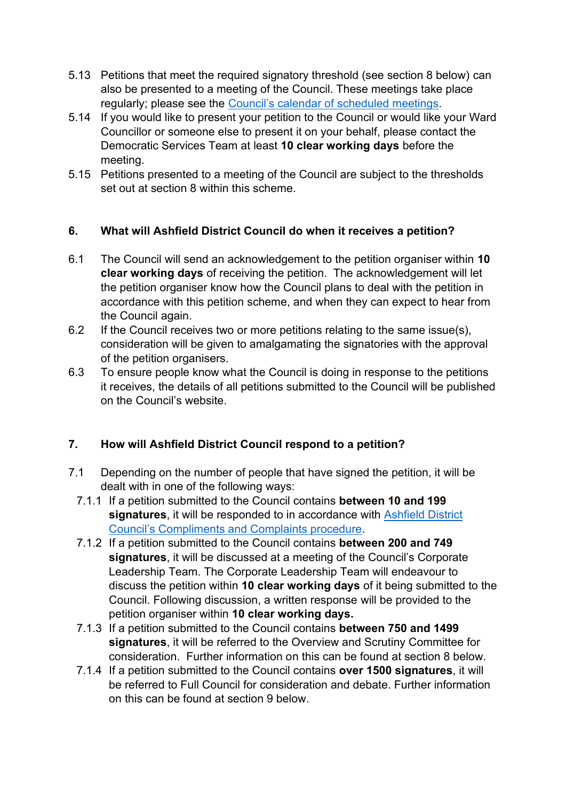- 5.13 Petitions that meet the required signatory threshold (see section 8 below) can also be presented to a meeting of the Council. These meetings take place regularly; please see the [Council's calendar of scheduled meetings](https://democracy.ashfield.gov.uk/mgCalendarMonthView.aspx?GL=1&bcr=1).
- 5.14 If you would like to present your petition to the Council or would like your Ward Councillor or someone else to present it on your behalf, please contact the Democratic Services Team at least **10 clear working days** before the meeting.
- 5.15 Petitions presented to a meeting of the Council are subject to the thresholds set out at section 8 within this scheme.

# **6. What will Ashfield District Council do when it receives a petition?**

- 6.1 The Council will send an acknowledgement to the petition organiser within **10 clear working days** of receiving the petition. The acknowledgement will let the petition organiser know how the Council plans to deal with the petition in accordance with this petition scheme, and when they can expect to hear from the Council again.
- 6.2 If the Council receives two or more petitions relating to the same issue(s), consideration will be given to amalgamating the signatories with the approval of the petition organisers.
- 6.3 To ensure people know what the Council is doing in response to the petitions it receives, the details of all petitions submitted to the Council will be published on the Council's website.

#### **7. How will Ashfield District Council respond to a petition?**

- 7.1 Depending on the number of people that have signed the petition, it will be dealt with in one of the following ways:
	- 7.1.1 If a petition submitted to the Council contains **between 10 and 199 signatures**, it will be responded to in accordance with [Ashfield District](https://www.ashfield.gov.uk/your-council/about-the-council/compliments-and-complaints/)  [Council's Compliments and Complaints procedure](https://www.ashfield.gov.uk/your-council/about-the-council/compliments-and-complaints/).
	- 7.1.2 If a petition submitted to the Council contains **between 200 and 749 signatures**, it will be discussed at a meeting of the Council's Corporate Leadership Team. The Corporate Leadership Team will endeavour to discuss the petition within **10 clear working days** of it being submitted to the Council. Following discussion, a written response will be provided to the petition organiser within **10 clear working days.**
	- 7.1.3 If a petition submitted to the Council contains **between 750 and 1499 signatures**, it will be referred to the Overview and Scrutiny Committee for consideration. Further information on this can be found at section 8 below.
	- 7.1.4 If a petition submitted to the Council contains **over 1500 signatures**, it will be referred to Full Council for consideration and debate. Further information on this can be found at section 9 below.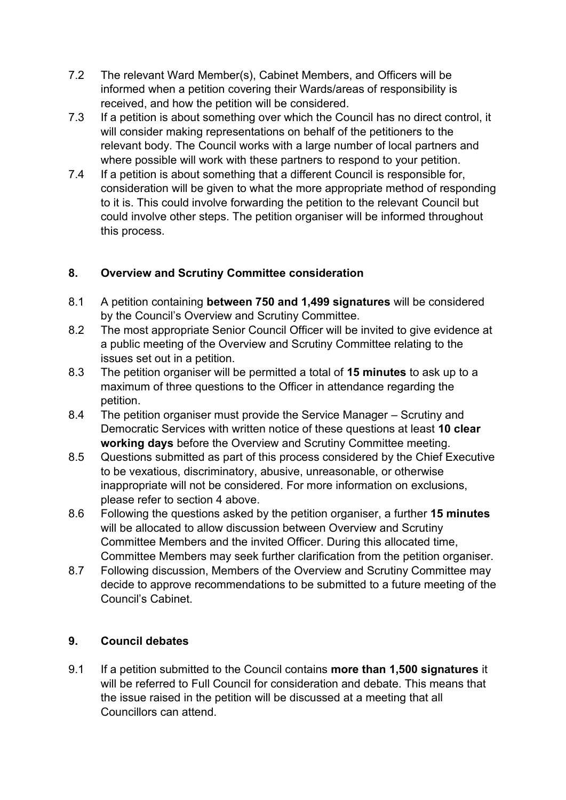- 7.2 The relevant Ward Member(s), Cabinet Members, and Officers will be informed when a petition covering their Wards/areas of responsibility is received, and how the petition will be considered.
- 7.3 If a petition is about something over which the Council has no direct control, it will consider making representations on behalf of the petitioners to the relevant body. The Council works with a large number of local partners and where possible will work with these partners to respond to your petition.
- 7.4 If a petition is about something that a different Council is responsible for, consideration will be given to what the more appropriate method of responding to it is. This could involve forwarding the petition to the relevant Council but could involve other steps. The petition organiser will be informed throughout this process.

# **8. Overview and Scrutiny Committee consideration**

- 8.1 A petition containing **between 750 and 1,499 signatures** will be considered by the Council's Overview and Scrutiny Committee.
- 8.2 The most appropriate Senior Council Officer will be invited to give evidence at a public meeting of the Overview and Scrutiny Committee relating to the issues set out in a petition.
- 8.3 The petition organiser will be permitted a total of **15 minutes** to ask up to a maximum of three questions to the Officer in attendance regarding the petition.
- 8.4 The petition organiser must provide the Service Manager Scrutiny and Democratic Services with written notice of these questions at least **10 clear working days** before the Overview and Scrutiny Committee meeting.
- 8.5 Questions submitted as part of this process considered by the Chief Executive to be vexatious, discriminatory, abusive, unreasonable, or otherwise inappropriate will not be considered. For more information on exclusions, please refer to section 4 above.
- 8.6 Following the questions asked by the petition organiser, a further **15 minutes**  will be allocated to allow discussion between Overview and Scrutiny Committee Members and the invited Officer. During this allocated time, Committee Members may seek further clarification from the petition organiser.
- 8.7 Following discussion, Members of the Overview and Scrutiny Committee may decide to approve recommendations to be submitted to a future meeting of the Council's Cabinet.

# **9. Council debates**

9.1 If a petition submitted to the Council contains **more than 1,500 signatures** it will be referred to Full Council for consideration and debate. This means that the issue raised in the petition will be discussed at a meeting that all Councillors can attend.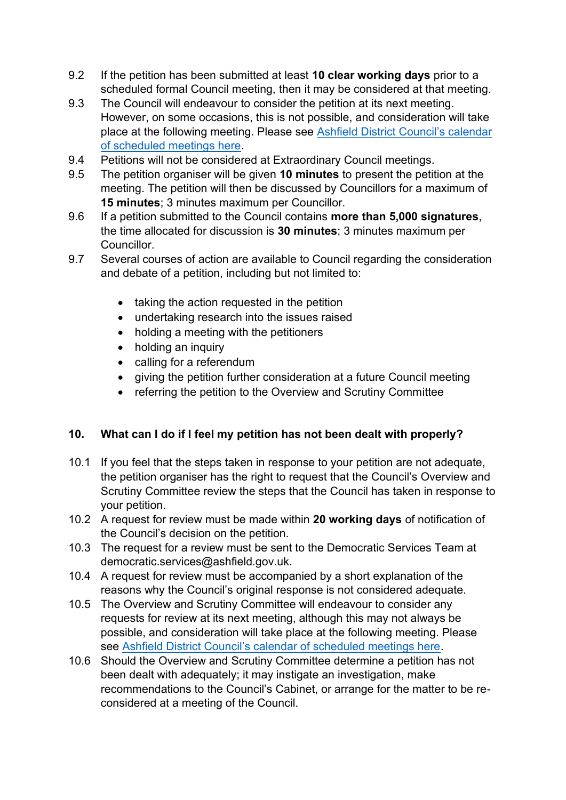- 9.2 If the petition has been submitted at least **10 clear working days** prior to a scheduled formal Council meeting, then it may be considered at that meeting.
- 9.3 The Council will endeavour to consider the petition at its next meeting. However, on some occasions, this is not possible, and consideration will take place at the following meeting. Please see [Ashfield District Council's calendar](https://democracy.ashfield-dc.gov.uk/mgCalendarMonthView.aspx?GL=1&bcr=1)  [of scheduled meetings here.](https://democracy.ashfield-dc.gov.uk/mgCalendarMonthView.aspx?GL=1&bcr=1)
- 9.4 Petitions will not be considered at Extraordinary Council meetings.
- 9.5 The petition organiser will be given **10 minutes** to present the petition at the meeting. The petition will then be discussed by Councillors for a maximum of **15 minutes**; 3 minutes maximum per Councillor.
- 9.6 If a petition submitted to the Council contains **more than 5,000 signatures**, the time allocated for discussion is **30 minutes**; 3 minutes maximum per Councillor.
- 9.7 Several courses of action are available to Council regarding the consideration and debate of a petition, including but not limited to:
	- taking the action requested in the petition
	- undertaking research into the issues raised
	- holding a meeting with the petitioners
	- holding an inquiry
	- calling for a referendum
	- giving the petition further consideration at a future Council meeting
	- referring the petition to the Overview and Scrutiny Committee

# **10. What can I do if I feel my petition has not been dealt with properly?**

- 10.1 If you feel that the steps taken in response to your petition are not adequate, the petition organiser has the right to request that the Council's Overview and Scrutiny Committee review the steps that the Council has taken in response to your petition.
- 10.2 A request for review must be made within **20 working days** of notification of the Council's decision on the petition.
- 10.3 The request for a review must be sent to the Democratic Services Team at democratic.services@ashfield.gov.uk.
- 10.4 A request for review must be accompanied by a short explanation of the reasons why the Council's original response is not considered adequate.
- 10.5 The Overview and Scrutiny Committee will endeavour to consider any requests for review at its next meeting, although this may not always be possible, and consideration will take place at the following meeting. Please see [Ashfield District Council's calendar of scheduled meetings here](https://democracy.ashfield-dc.gov.uk/mgCalendarMonthView.aspx?GL=1&bcr=1).
- 10.6 Should the Overview and Scrutiny Committee determine a petition has not been dealt with adequately; it may instigate an investigation, make recommendations to the Council's Cabinet, or arrange for the matter to be reconsidered at a meeting of the Council.